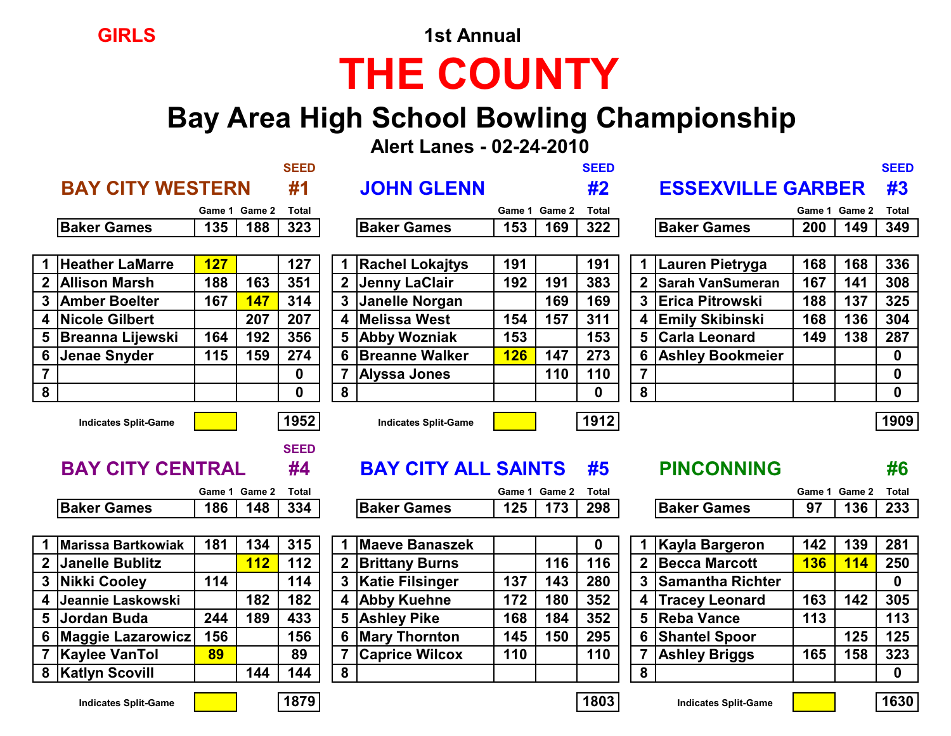**GIRLS** 1st Annual

# **THE COUNTY**

### **Bay Area High School Bowling Championship**

 **Alert Lanes - 02-24-2010**

|                |                             |            |               | <b>SEED</b>  |                         |                             |            |               | <b>SEED</b>  |                |                          |               |               | <b>SEED</b>      |
|----------------|-----------------------------|------------|---------------|--------------|-------------------------|-----------------------------|------------|---------------|--------------|----------------|--------------------------|---------------|---------------|------------------|
|                | <b>BAY CITY WESTERN</b>     |            |               | #1           |                         | <b>JOHN GLENN</b>           |            |               | #2           |                | <b>ESSEXVILLE GARBER</b> |               |               | #3               |
|                |                             |            | Game 1 Game 2 | <b>Total</b> |                         |                             |            | Game 1 Game 2 | <b>Total</b> |                |                          | Game 1 Game 2 |               | <b>Total</b>     |
|                | <b>Baker Games</b>          | 135        | 188           | 323          |                         | <b>Baker Games</b>          | 153        | 169           | 322          |                | <b>Baker Games</b>       | 200           | 149           | 349              |
|                |                             |            |               |              |                         |                             |            |               |              |                |                          |               |               |                  |
|                | <b>Heather LaMarre</b>      | <b>127</b> |               | 127          |                         | <b>Rachel Lokajtys</b>      | 191        |               | 191          |                | Lauren Pietryga          | 168           | 168           | 336              |
|                | 2 Allison Marsh             | 188        | 163           | 351          | $\overline{2}$          | <b>Jenny LaClair</b>        | 192        | 191           | 383          | $\mathbf{2}$   | <b>Sarah VanSumeran</b>  | 167           | 141           | 308              |
|                | 3 Amber Boelter             | 167        | 147           | 314          | $\overline{\mathbf{3}}$ | Janelle Norgan              |            | 169           | 169          | $\mathbf{3}$   | <b>IErica Pitrowski</b>  | 188           | 137           | 325              |
|                | 4 Nicole Gilbert            |            | 207           | 207          | 4 <sup>1</sup>          | <b>Melissa West</b>         | 154        | 157           | 311          | 4              | <b>Emily Skibinski</b>   | 168           | 136           | 304              |
| 5              | <b>Breanna Lijewski</b>     | 164        | 192           | 356          | 5                       | <b>Abby Wozniak</b>         | 153        |               | 153          | 5              | <b>Carla Leonard</b>     | 149           | 138           | 287              |
|                | 6 Jenae Snyder              | 115        | 159           | 274          |                         | 6 Breanne Walker            | <b>126</b> | 147           | 273          | 6              | <b>Ashley Bookmeier</b>  |               |               | $\mathbf{0}$     |
| $\overline{7}$ |                             |            |               | $\mathbf 0$  |                         | <b>Alyssa Jones</b>         |            | 110           | 110          |                |                          |               |               | 0                |
| 8              |                             |            |               | $\mathbf 0$  | 8                       |                             |            |               | 0            | 8              |                          |               |               | $\boldsymbol{0}$ |
|                | <b>Indicates Split-Game</b> |            |               | 1952         |                         | <b>Indicates Split-Game</b> |            |               | 1912         |                |                          |               |               | 1909             |
|                |                             |            |               |              |                         |                             |            |               |              |                |                          |               |               |                  |
|                |                             |            |               | <b>SEED</b>  |                         |                             |            |               |              |                |                          |               |               |                  |
|                | <b>BAY CITY CENTRAL</b>     |            |               | #4           |                         | <b>BAY CITY ALL SAINTS</b>  |            |               | #5           |                | <b>PINCONNING</b>        |               |               | #6               |
|                |                             |            | Game 1 Game 2 | <b>Total</b> |                         |                             |            | Game 1 Game 2 | <b>Total</b> |                |                          |               | Game 1 Game 2 | <b>Total</b>     |
|                | <b>Baker Games</b>          | 186        | 148           | 334          |                         | <b>Baker Games</b>          | 125        | 173           | 298          |                | <b>Baker Games</b>       | 97            | 136           | 233              |
|                |                             |            |               |              |                         |                             |            |               |              |                |                          |               |               |                  |
|                | <b>Marissa Bartkowiak</b>   | 181        | 134           | 315          |                         | <b>Maeve Banaszek</b>       |            |               | 0            |                | <b>Kayla Bargeron</b>    | 142           | 139           | 281              |
| 2 <sup>1</sup> | <b>Janelle Bublitz</b>      |            | 112           | 112          | $\overline{2}$          | <b>Brittany Burns</b>       |            | 116           | 116          | $\overline{2}$ | <b>Becca Marcott</b>     | <b>136</b>    | <b>114</b>    | 250              |
|                | 3 Nikki Cooley              | 114        |               | 114          |                         | 3   Katie Filsinger         | 137        | 143           | 280          | $\mathbf{3}$   | <b>Samantha Richter</b>  |               |               | $\mathbf 0$      |
| 4              | Jeannie Laskowski           |            | 182           | 182          |                         | <b>Abby Kuehne</b>          | 172        | 180           | 352          |                | <b>Tracey Leonard</b>    | 163           | 142           | 305              |
|                | 5 Jordan Buda               | 244        | 189           | 433          | 5 <sup>1</sup>          | <b>Ashley Pike</b>          | 168        | 184           | 352          | 5              | <b>Reba Vance</b>        | 113           |               | 113              |
| 6              | <b>Maggie Lazarowicz</b>    | 156        |               | 156          | 6                       | <b>Mary Thornton</b>        | 145        | 150           | 295          | 6              | <b>Shantel Spoor</b>     |               | 125           | 125              |
|                | 7 Kaylee VanTol             | 89         |               | 89           |                         | <b>Caprice Wilcox</b>       | 110        |               | 110          |                | <b>Ashley Briggs</b>     | 165           | 158           | 323              |
|                | 8   Katlyn Scovill          |            | 144           | 144          | 8                       |                             |            |               |              | 8              |                          |               |               | $\mathbf 0$      |



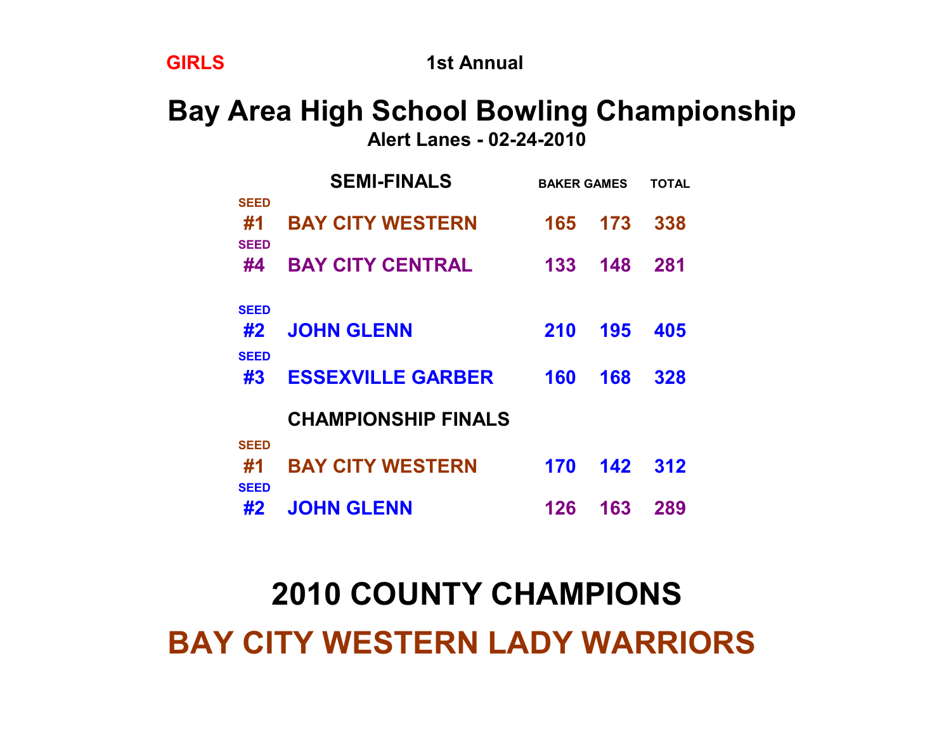## **2010 COUNTY CHAMPIONS BAY CITY WESTERN LADY WARRIORS**

|                                  | <b>SEMI-FINALS</b>         | <b>BAKER GAMES</b> | TOTAL |     |
|----------------------------------|----------------------------|--------------------|-------|-----|
| <b>SEED</b><br>#1<br><b>SEED</b> | <b>BAY CITY WESTERN</b>    | 165                | 173   | 338 |
| #4                               | <b>BAY CITY CENTRAL</b>    | 133                | 148   | 281 |
| <b>SEED</b><br>#2<br><b>SEED</b> | <b>JOHN GLENN</b>          | <b>210</b>         | 195   | 405 |
| #3                               | <b>ESSEXVILLE GARBER</b>   | 160                | 168   | 328 |
|                                  | <b>CHAMPIONSHIP FINALS</b> |                    |       |     |
| <b>SEED</b><br>#1<br><b>SEED</b> | <b>BAY CITY WESTERN</b>    | 170                | 142   | 312 |
| #2                               | <b>JOHN GLENN</b>          | 126                | 163   | 289 |

**Bay Area High School Bowling Championship Alert Lanes - 02-24-2010**

**GIRLS** 1st Annual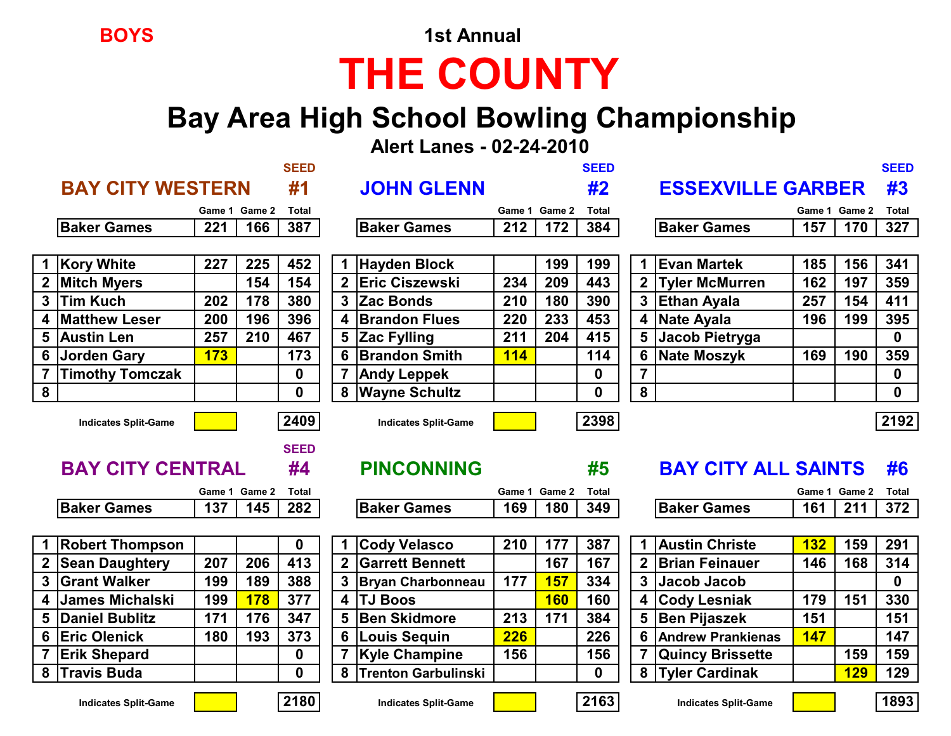**BOYS** 1st Annual

# **THE COUNTY**

### **Bay Area High School Bowling Championship**

 **Alert Lanes - 02-24-2010**

|                 | <b>BAY CITY WESTERN</b>     |            |               | <b>SEED</b><br>#1 |                | <b>JOHN GLENN</b>           |               |               | <b>SEED</b><br>#2 |                         | <b>ESSEXVILLE GARBER</b>   |                      |            | <b>SEED</b><br>#3 |
|-----------------|-----------------------------|------------|---------------|-------------------|----------------|-----------------------------|---------------|---------------|-------------------|-------------------------|----------------------------|----------------------|------------|-------------------|
|                 |                             |            | Game 1 Game 2 |                   |                |                             |               | Game 1 Game 2 | <b>Total</b>      |                         |                            |                      |            | <b>Total</b>      |
|                 | <b>Baker Games</b>          | 221        | 166           | Total<br>387      |                | <b>Baker Games</b>          | 212           | 172           | 384               |                         | <b>Baker Games</b>         | Game 1 Game 2<br>157 | 170        | 327               |
|                 |                             |            |               |                   |                |                             |               |               |                   |                         |                            |                      |            |                   |
|                 | <b>Kory White</b>           | 227        | 225           | 452               |                | 1 Hayden Block              |               | 199           | 199               | 1.                      | <b>Evan Martek</b>         | 185                  | 156        | 341               |
| $\mathbf{2}$    | <b>Mitch Myers</b>          |            | 154           | 154               | $\mathbf{2}$   | <b>Eric Ciszewski</b>       | 234           | 209           | 443               | $\mathbf{2}$            | <b>Tyler McMurren</b>      | 162                  | 197        | 359               |
| $\mathbf{3}$    | <b>Tim Kuch</b>             | 202        | 178           | 380               |                | 3 Zac Bonds                 | 210           | 180           | 390               | 3 <sup>1</sup>          | <b>Ethan Ayala</b>         | 257                  | 154        | 411               |
| 4               | <b>Matthew Leser</b>        | 200        | 196           | 396               | 4              | <b>Brandon Flues</b>        | 220           | 233           | 453               | 4                       | Nate Ayala                 | 196                  | 199        | 395               |
| 5               | <b>Austin Len</b>           | 257        | 210           | 467               | 5              | <b>Zac Fylling</b>          | 211           | 204           | 415               | 5                       | Jacob Pietryga             |                      |            | $\mathbf 0$       |
| $6\phantom{1}6$ | Jorden Gary                 | <b>173</b> |               | 173               | 6              | <b>Brandon Smith</b>        | <b>114</b>    |               | 114               | 6                       | <b>Nate Moszyk</b>         | 169                  | 190        | 359               |
|                 | <b>Timothy Tomczak</b>      |            |               | 0                 |                | <b>Andy Leppek</b>          |               |               | 0                 |                         |                            |                      |            | $\bf{0}$          |
| 8               |                             |            |               | $\mathbf{0}$      | 8              | <b>Wayne Schultz</b>        |               |               | $\mathbf{0}$      | 8                       |                            |                      |            | $\bf{0}$          |
|                 | <b>Indicates Split-Game</b> |            |               | 2409              |                | <b>Indicates Split-Game</b> |               |               | 2398              |                         |                            |                      |            | 2192              |
|                 |                             |            |               | <b>SEED</b>       |                |                             |               |               |                   |                         |                            |                      |            |                   |
|                 | <b>BAY CITY CENTRAL</b>     |            |               | #4                |                | <b>PINCONNING</b>           |               |               | #5                |                         | <b>BAY CITY ALL SAINTS</b> |                      |            | #6                |
|                 |                             |            | Game 1 Game 2 | Total             |                |                             | Game 1 Game 2 |               | <b>Total</b>      |                         |                            | Game 1 Game 2        |            | <b>Total</b>      |
|                 | <b>Baker Games</b>          | 137        | 145           | 282               |                | <b>Baker Games</b>          | 169           | 180           | 349               |                         | <b>Baker Games</b>         | 161                  | 211        | 372               |
|                 |                             |            |               |                   |                |                             |               |               |                   |                         |                            |                      |            |                   |
|                 | <b>Robert Thompson</b>      |            |               | $\mathbf 0$       |                | 1 Cody Velasco              | 210           | 177           | 387               | 1                       | <b>Austin Christe</b>      | <b>132</b>           | 159        | 291               |
| $\mathbf 2$     | <b>Sean Daughtery</b>       | 207        | 206           | 413               | $\overline{2}$ | <b>Garrett Bennett</b>      |               | 167           | 167               | $\overline{2}$          | <b>Brian Feinauer</b>      | 146                  | 168        | 314               |
| 3 <sup>1</sup>  | <b>Grant Walker</b>         | 199        | 189           | 388               | $3\phantom{a}$ | <b>Bryan Charbonneau</b>    | 177           | <b>157</b>    | 334               | $\mathbf{3}$            | Jacob Jacob                |                      |            | $\mathbf 0$       |
| 4               | <b>James Michalski</b>      | 199        | <b>178</b>    | 377               | 4              | <b>TJ Boos</b>              |               | <b>160</b>    | 160               | $\overline{\mathbf{4}}$ | <b>Cody Lesniak</b>        | 179                  | 151        | 330               |
| 5               | <b>Daniel Bublitz</b>       | 171        | 176           | 347               | 5              | <b>Ben Skidmore</b>         | 213           | 171           | 384               | 5                       | Ben Pijaszek               | 151                  |            | 151               |
| 6               | <b>Eric Olenick</b>         | 180        | 193           | 373               | 6              | <b>Louis Sequin</b>         | <b>226</b>    |               | 226               | 6                       | <b>Andrew Prankienas</b>   | <b>147</b>           |            | 147               |
|                 | <b>Erik Shepard</b>         |            |               | 0                 |                | <b>Kyle Champine</b>        | 156           |               | 156               |                         | <b>Quincy Brissette</b>    |                      | 159        | 159               |
| 8               | <b>Travis Buda</b>          |            |               | $\mathbf{0}$      | 8              | <b>Trenton Garbulinski</b>  |               |               | $\mathbf{0}$      | 8                       | <b>Tyler Cardinak</b>      |                      | <b>129</b> | 129               |



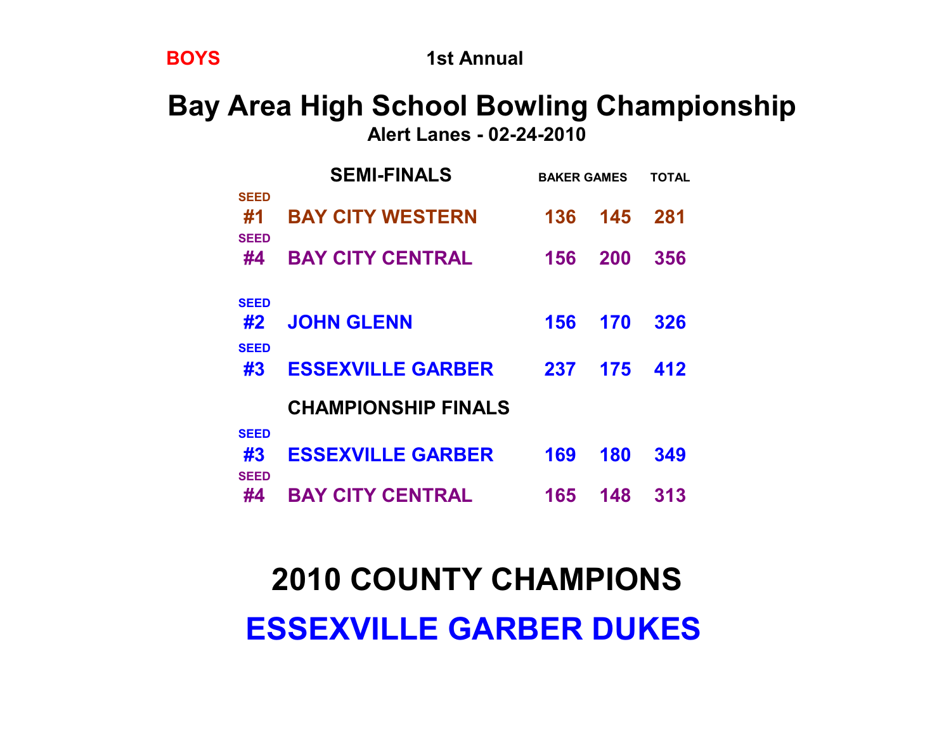## **2010 COUNTY CHAMPIONS ESSEXVILLE GARBER DUKES**

| SEED              |                            |     |     |     |
|-------------------|----------------------------|-----|-----|-----|
| #1                | <b>BAY CITY WESTERN</b>    | 136 | 145 | 281 |
| <b>SEED</b><br>#4 | <b>BAY CITY CENTRAL</b>    | 156 | 200 | 356 |
|                   |                            |     |     |     |
| <b>SEED</b>       |                            |     |     |     |
| #2                | <b>JOHN GLENN</b>          | 156 | 170 | 326 |
| <b>SEED</b><br>#3 | <b>ESSEXVILLE GARBER</b>   | 237 | 175 | 412 |
|                   |                            |     |     |     |
|                   | <b>CHAMPIONSHIP FINALS</b> |     |     |     |
| <b>SEED</b>       |                            |     |     |     |
| #3                | <b>ESSEXVILLE GARBER</b>   | 169 | 180 | 349 |
| <b>SEED</b>       |                            |     |     |     |
| #4                | <b>BAY CITY CENTRAL</b>    | 165 | 148 | 313 |

**Bay Area High School Bowling Championship Alert Lanes - 02-24-2010**

 **SEMI-FINALS BAKER GAMES TOTAL**

**BOYS** 1st Annual